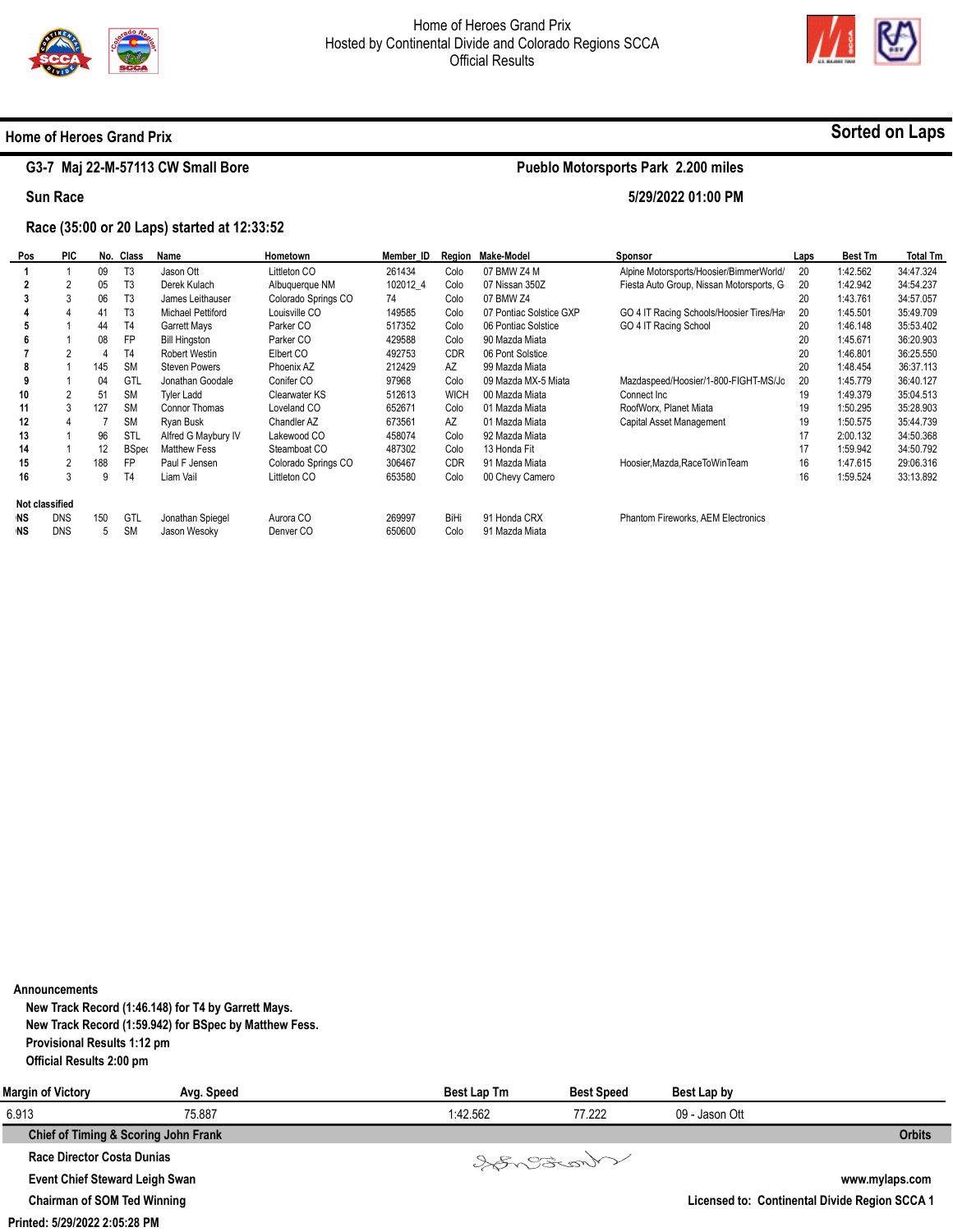

**Pueblo Motorsports Park 2.200 miles** 

**5/29/2022 01:00 PM** 



### **Home of Heroes Grand Prix**

# **G3-7 Maj 22-M-57113 CW Small Bore**

**Sun Race** 

## **Race (35:00 or 20 Laps) started at 12:33:52**

| Pos                   | <b>PIC</b> |     | No. Class      | Name                     | Hometown             | Member ID |             | Region Make-Model       | Sponsor                                   | Laps | <b>Best Tm</b> | <b>Total Tm</b> |
|-----------------------|------------|-----|----------------|--------------------------|----------------------|-----------|-------------|-------------------------|-------------------------------------------|------|----------------|-----------------|
|                       |            | 09  | T <sub>3</sub> | Jason Ott                | Littleton CO         | 261434    | Colo        | 07 BMW Z4 M             | Alpine Motorsports/Hoosier/BimmerWorld/   | 20   | 1:42.562       | 34:47.324       |
|                       |            | 05  | T <sub>3</sub> | Derek Kulach             | Albuquerque NM       | 102012 4  | Colo        | 07 Nissan 350Z          | Fiesta Auto Group, Nissan Motorsports, G. | 20   | 1:42.942       | 34:54.237       |
|                       | 3          | 06  | T <sub>3</sub> | James Leithauser         | Colorado Springs CO  | 74        | Colo        | 07 BMW Z4               |                                           | 20   | 1:43.761       | 34:57.057       |
|                       | 4          | 41  | T <sub>3</sub> | <b>Michael Pettiford</b> | Louisville CO        | 149585    | Colo        | 07 Pontiac Solstice GXP | GO 4 IT Racing Schools/Hoosier Tires/Hay  | 20   | 1:45.501       | 35:49.709       |
|                       |            | 44  | T <sub>4</sub> | Garrett Mays             | Parker CO            | 517352    | Colo        | 06 Pontiac Solstice     | GO 4 IT Racing School                     | 20   | 1:46.148       | 35:53.402       |
|                       |            | 08  | <b>FP</b>      | <b>Bill Hingston</b>     | Parker CO            | 429588    | Colo        | 90 Mazda Miata          |                                           | 20   | 1:45.671       | 36:20.903       |
|                       | 2          | 4   | T <sub>4</sub> | Robert Westin            | Elbert CO            | 492753    | <b>CDR</b>  | 06 Pont Solstice        |                                           | 20   | 1:46.801       | 36:25.550       |
| 8                     |            | 145 | <b>SM</b>      | <b>Steven Powers</b>     | Phoenix AZ           | 212429    | AZ          | 99 Mazda Miata          |                                           | 20   | 1:48.454       | 36:37.113       |
|                       |            | 04  | GTL            | Jonathan Goodale         | Conifer CO           | 97968     | Colo        | 09 Mazda MX-5 Miata     | Mazdaspeed/Hoosier/1-800-FIGHT-MS/Jo      | 20   | 1:45.779       | 36:40.127       |
| 10                    | 2          | 51  | <b>SM</b>      | <b>Tyler Ladd</b>        | Clearwater KS        | 512613    | <b>WICH</b> | 00 Mazda Miata          | Connect Inc.                              | 19   | 1:49.379       | 35:04.513       |
| 11                    |            | 127 | <b>SM</b>      | Connor Thomas            | Loveland CO          | 652671    | Colo        | 01 Mazda Miata          | RoofWorx, Planet Miata                    | 19   | 1:50.295       | 35:28.903       |
| 12                    |            |     | <b>SM</b>      | Ryan Busk                | Chandler AZ          | 673561    | AZ          | 01 Mazda Miata          | Capital Asset Management                  | 19   | 1:50.575       | 35:44.739       |
| 13                    |            | 96  | STL            | Alfred G Maybury IV      | Lakewood CO          | 458074    | Colo        | 92 Mazda Miata          |                                           | 17   | 2:00.132       | 34:50.368       |
| 14                    |            | 12  | <b>B</b> Spec  | <b>Matthew Fess</b>      | Steamboat CO         | 487302    | Colo        | 13 Honda Fit            |                                           | 17   | 1:59.942       | 34:50.792       |
| 15                    | 2          | 188 | FP             | Paul F Jensen            | Colorado Springs CO  | 306467    | <b>CDR</b>  | 91 Mazda Miata          | Hoosier, Mazda, Race To Win Team          | 16   | 1:47.615       | 29:06.316       |
| 16                    | 3          | 9   | T <sub>4</sub> | Liam Vail                | Littleton CO         | 653580    | Colo        | 00 Chevy Camero         |                                           | 16   | 1:59.524       | 33:13.892       |
| <b>Not classified</b> |            |     |                |                          |                      |           |             |                         |                                           |      |                |                 |
| <b>NS</b>             | <b>DNS</b> | 150 | GTL            | Jonathan Spiegel         | Aurora CO            | 269997    | BiHi        | 91 Honda CRX            | <b>Phantom Fireworks, AEM Electronics</b> |      |                |                 |
| <b>NS</b>             | <b>DNS</b> | 5   | <b>SM</b>      | Jason Wesoky             | Denver <sub>CO</sub> | 650600    | Colo        | 91 Mazda Miata          |                                           |      |                |                 |

| Announcements |  |
|---------------|--|
|               |  |

**New Track Record (1:46.148) for T4 by Garrett Mays. New Track Record (1:59.942) for BSpec by Matthew Fess. Provisional Results 1:12 pm Official Results 2:00 pm** 

| <b>Margin of Victory</b>              | Avg. Speed | Best Lap Tm | <b>Best Speed</b> | Best Lap by    |                                               |
|---------------------------------------|------------|-------------|-------------------|----------------|-----------------------------------------------|
| 6.913                                 | 75.887     | 1:42.562    | 77.222            | 09 - Jason Ott |                                               |
| Chief of Timing & Scoring John Frank  |            |             |                   |                | <b>Orbits</b>                                 |
| Race Director Costa Dunias            |            |             | Varant            |                |                                               |
| <b>Event Chief Steward Leigh Swan</b> |            |             |                   |                | www.mylaps.com                                |
| <b>Chairman of SOM Ted Winning</b>    |            |             |                   |                | Licensed to: Continental Divide Region SCCA 1 |

**Printed: 5/29/2022 2:05:28 PM** 

# **Sorted on Laps**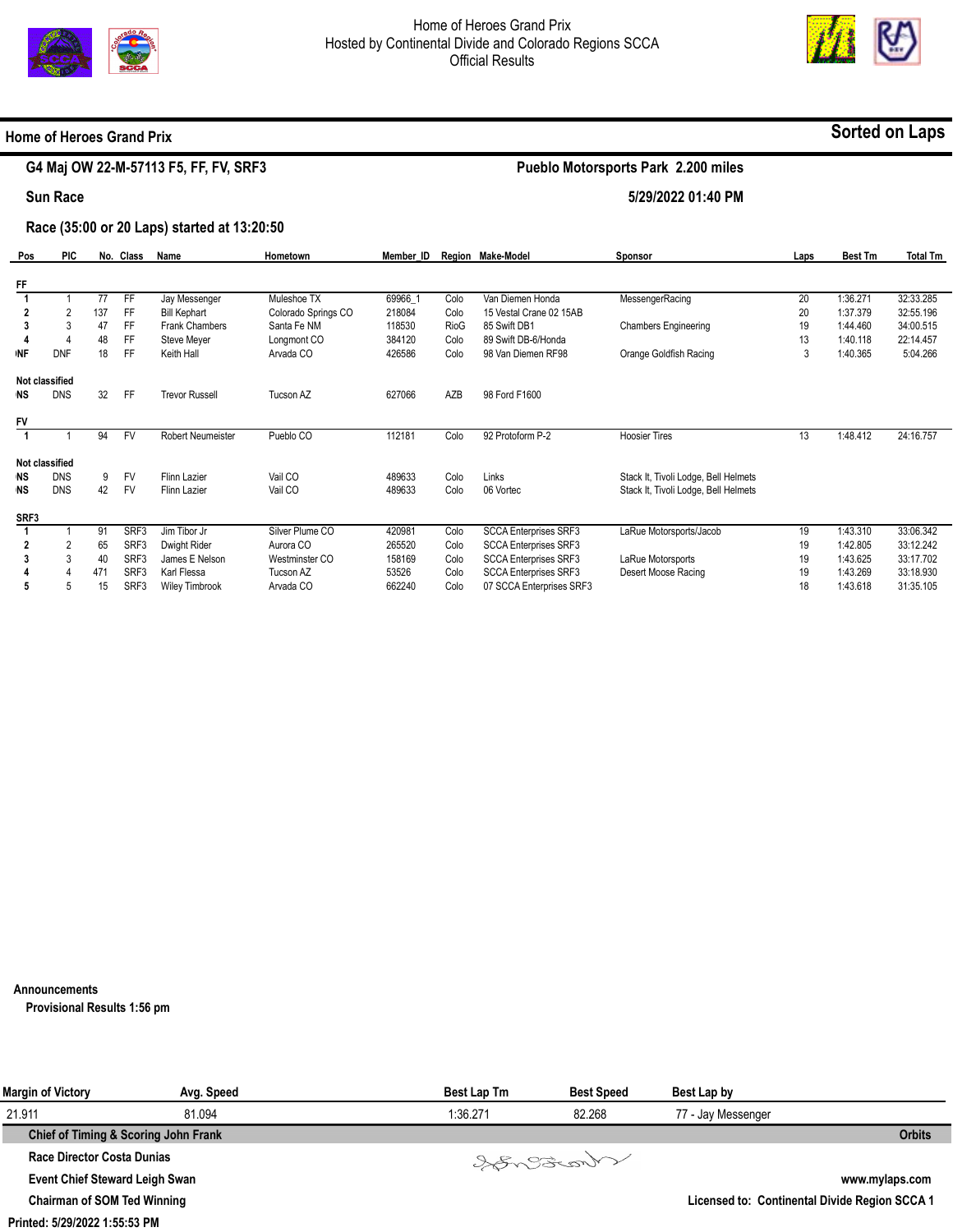



#### **Home of Heroes Grand Prix**

# **G4 Maj OW 22-M-57113 F5, FF, FV, SRF3**

# **Sorted on Laps**

# **Pueblo Motorsports Park 2.200 miles**

**5/29/2022 01:40 PM** 

**Sun Race** 

#### **Race (35:00 or 20 Laps) started at 13:20:50**

| Pos       | <b>PIC</b>     |     | No. Class        | Name                  | Hometown            | Member ID |      | Region Make-Model            | Sponsor                              | Laps | <b>Best Tm</b> | <b>Total Tm</b> |
|-----------|----------------|-----|------------------|-----------------------|---------------------|-----------|------|------------------------------|--------------------------------------|------|----------------|-----------------|
|           |                |     |                  |                       |                     |           |      |                              |                                      |      |                |                 |
| FF        |                |     |                  |                       |                     |           |      |                              |                                      |      |                |                 |
|           |                | 77  | FF               | Jay Messenger         | Muleshoe TX         | 69966 1   | Colo | Van Diemen Honda             | MessengerRacing                      | 20   | 1:36.271       | 32:33.285       |
|           | 2              | 137 | FF               | <b>Bill Kephart</b>   | Colorado Springs CO | 218084    | Colo | 15 Vestal Crane 02 15AB      |                                      | 20   | 1:37.379       | 32:55.196       |
|           | 3              | 47  | FF               | Frank Chambers        | Santa Fe NM         | 118530    | RioG | 85 Swift DB1                 | <b>Chambers Engineering</b>          | 19   | 1:44.460       | 34:00.515       |
|           | 4              | 48  | FF.              | Steve Meyer           | Longmont CO         | 384120    | Colo | 89 Swift DB-6/Honda          |                                      | 13   | 1:40.118       | 22:14.457       |
| <b>NF</b> | <b>DNF</b>     | 18  | FF               | Keith Hall            | Arvada CO           | 426586    | Colo | 98 Van Diemen RF98           | Orange Goldfish Racing               | 3    | 1:40.365       | 5:04.266        |
|           | Not classified |     |                  |                       |                     |           |      |                              |                                      |      |                |                 |
| <b>NS</b> | <b>DNS</b>     | 32  | FF               | <b>Trevor Russell</b> | Tucson AZ           | 627066    | AZB  | 98 Ford F1600                |                                      |      |                |                 |
| FV        |                |     |                  |                       |                     |           |      |                              |                                      |      |                |                 |
|           |                | 94  | <b>FV</b>        | Robert Neumeister     | Pueblo CO           | 112181    | Colo | 92 Protoform P-2             | <b>Hoosier Tires</b>                 | 13   | 1:48.412       | 24:16.757       |
|           | Not classified |     |                  |                       |                     |           |      |                              |                                      |      |                |                 |
| <b>NS</b> | <b>DNS</b>     | 9   | <b>FV</b>        | Flinn Lazier          | Vail CO             | 489633    | Colo | Links                        | Stack It, Tivoli Lodge, Bell Helmets |      |                |                 |
| <b>NS</b> | <b>DNS</b>     | 42  | <b>FV</b>        | Flinn Lazier          | Vail CO             | 489633    | Colo | 06 Vortec                    | Stack It, Tivoli Lodge, Bell Helmets |      |                |                 |
|           |                |     |                  |                       |                     |           |      |                              |                                      |      |                |                 |
| SRF3      |                |     |                  |                       |                     |           |      |                              |                                      |      |                |                 |
|           |                | 91  | SRF3             | Jim Tibor Jr          | Silver Plume CO     | 420981    | Colo | <b>SCCA Enterprises SRF3</b> | LaRue Motorsports/Jacob              | 19   | 1:43.310       | 33:06.342       |
|           |                | 65  | SRF3             | Dwight Rider          | Aurora CO           | 265520    | Colo | <b>SCCA Enterprises SRF3</b> |                                      | 19   | 1:42.805       | 33:12.242       |
|           | 3              | 40  | SRF3             | James E Nelson        | Westminster CO      | 158169    | Colo | <b>SCCA Enterprises SRF3</b> | LaRue Motorsports                    | 19   | 1:43.625       | 33:17.702       |
|           |                | 471 | SRF <sub>3</sub> | Karl Flessa           | Tucson AZ           | 53526     | Colo | <b>SCCA Enterprises SRF3</b> | Desert Moose Racing                  | 19   | 1:43.269       | 33:18.930       |
| 5         | 5              | 15  | SRF3             | <b>Wiley Timbrook</b> | Arvada CO           | 662240    | Colo | 07 SCCA Enterprises SRF3     |                                      | 18   | 1:43.618       | 31:35.105       |

**Announcements** 

**Provisional Results 1:56 pm** 

| <b>Margin of Victory</b>              | Avg. Speed | <b>Best Lap Tm</b> | <b>Best Speed</b> | Best Lap by                                   |                |
|---------------------------------------|------------|--------------------|-------------------|-----------------------------------------------|----------------|
| 21.911                                | 81.094     | 1:36.271           | 82.268            | 77 - Jay Messenger                            |                |
| Chief of Timing & Scoring John Frank  |            |                    |                   |                                               | <b>Orbits</b>  |
| Race Director Costa Dunias            |            |                    | Songonaut         |                                               |                |
| <b>Event Chief Steward Leigh Swan</b> |            |                    |                   |                                               | www.mylaps.com |
| <b>Chairman of SOM Ted Winning</b>    |            |                    |                   | Licensed to: Continental Divide Region SCCA 1 |                |
| Printed: 5/29/2022 1:55:53 PM         |            |                    |                   |                                               |                |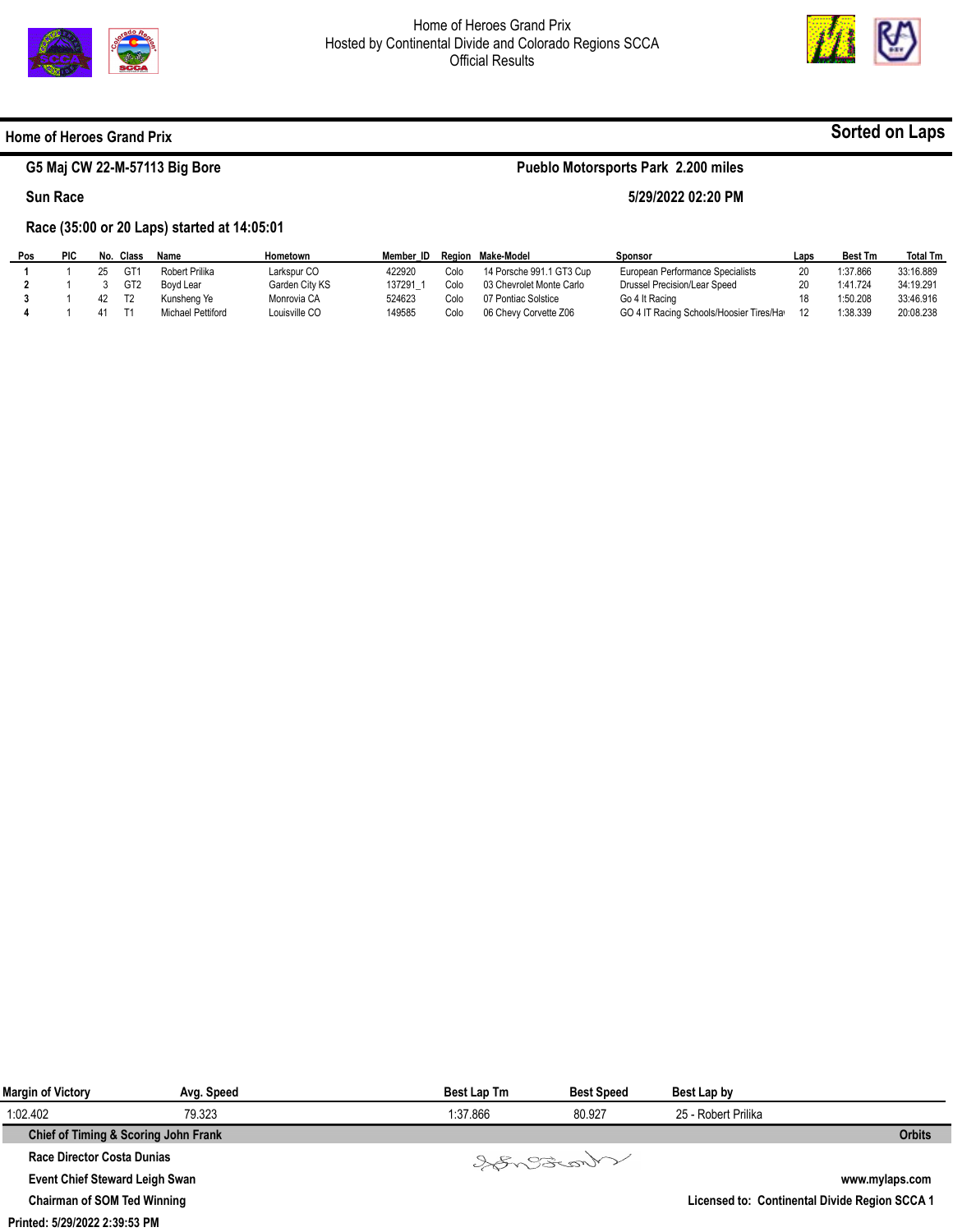



**Sorted on Laps**

#### **Home of Heroes Grand Prix**

# **G5 Maj CW 22-M-57113 Big Bore**

#### **Sun Race**

# **Pueblo Motorsports Park 2.200 miles**

#### **5/29/2022 02:20 PM**

**Race (35:00 or 20 Laps) started at 14:05:01** 

| Pos | <b>PIC</b> | No. Class | Name              | Hometown       | Member ID |      | Region Make-Model        | Sponsor                                  | Laps | <b>Best Tm</b> | <b>Total Tm</b> |
|-----|------------|-----------|-------------------|----------------|-----------|------|--------------------------|------------------------------------------|------|----------------|-----------------|
|     |            | GT1       | Robert Prilika    | Larkspur CO    | 422920    | Colo | 14 Porsche 991.1 GT3 Cup | European Performance Specialists         |      | 1:37.866       | 33:16.889       |
|     |            | GT2       | Bovd Lear         | Garden City KS | 137291    | Colo | 03 Chevrolet Monte Carlo | Drussel Precision/Lear Speed             |      | 1:41.724       | 34:19.291       |
|     |            | T2        | Kunsheng Ye       | Monrovia CA    | 524623    | Colo | 07 Pontiac Solstice      | Go 4 It Racing                           |      | 1:50.208       | 33:46.916       |
|     |            |           | Michael Pettiford | Louisville CO  | 149585    | Colo | 06 Chevy Corvette Z06    | GO 4 IT Racing Schools/Hoosier Tires/Hay |      | 1:38.339       | 20:08.238       |
|     |            |           |                   |                |           |      |                          |                                          |      |                |                 |

| <b>Margin of Victory</b>              | Avg. Speed                           | <b>Best Lap Tm</b> | <b>Best Speed</b> | Best Lap by         |                                               |
|---------------------------------------|--------------------------------------|--------------------|-------------------|---------------------|-----------------------------------------------|
| 1:02.402                              | 79.323                               | 1:37.866           | 80.927            | 25 - Robert Prilika |                                               |
|                                       | Chief of Timing & Scoring John Frank |                    |                   |                     | <b>Orbits</b>                                 |
| Race Director Costa Dunias            |                                      |                    | Varent            |                     |                                               |
| <b>Event Chief Steward Leigh Swan</b> |                                      |                    |                   |                     | www.mylaps.com                                |
| <b>Chairman of SOM Ted Winning</b>    |                                      |                    |                   |                     | Licensed to: Continental Divide Region SCCA 1 |